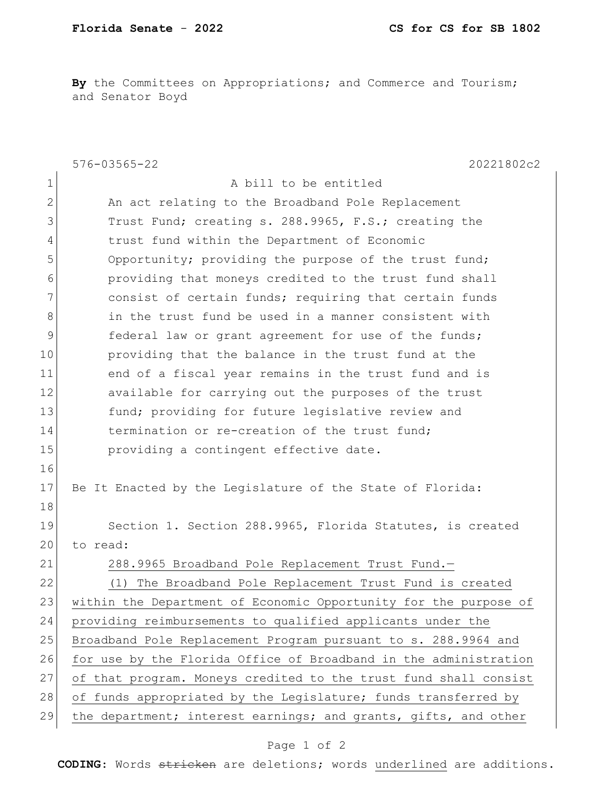**By** the Committees on Appropriations; and Commerce and Tourism; and Senator Boyd

|              | $576 - 03565 - 22$<br>20221802c2                                 |
|--------------|------------------------------------------------------------------|
| $\mathbf 1$  | A bill to be entitled                                            |
| $\mathbf{2}$ | An act relating to the Broadband Pole Replacement                |
| 3            | Trust Fund; creating s. 288.9965, F.S.; creating the             |
| 4            | trust fund within the Department of Economic                     |
| 5            | Opportunity; providing the purpose of the trust fund;            |
| 6            | providing that moneys credited to the trust fund shall           |
| 7            | consist of certain funds; requiring that certain funds           |
| 8            | in the trust fund be used in a manner consistent with            |
| 9            | federal law or grant agreement for use of the funds;             |
| 10           | providing that the balance in the trust fund at the              |
| 11           | end of a fiscal year remains in the trust fund and is            |
| 12           | available for carrying out the purposes of the trust             |
| 13           | fund; providing for future legislative review and                |
| 14           | termination or re-creation of the trust fund;                    |
| 15           | providing a contingent effective date.                           |
| 16           |                                                                  |
| 17           | Be It Enacted by the Legislature of the State of Florida:        |
| 18           |                                                                  |
| 19           | Section 1. Section 288.9965, Florida Statutes, is created        |
| 20           | to read:                                                         |
| 21           | 288.9965 Broadband Pole Replacement Trust Fund.-                 |
| 22           | The Broadband Pole Replacement Trust Fund is created<br>(1)      |
| 23           | within the Department of Economic Opportunity for the purpose of |
| 24           | providing reimbursements to qualified applicants under the       |
| 25           | Broadband Pole Replacement Program pursuant to s. 288.9964 and   |
| 26           | for use by the Florida Office of Broadband in the administration |
| 27           | of that program. Moneys credited to the trust fund shall consist |
| 28           | of funds appropriated by the Legislature; funds transferred by   |
| 29           | the department; interest earnings; and grants, gifts, and other  |

## Page 1 of 2

**CODING**: Words stricken are deletions; words underlined are additions.